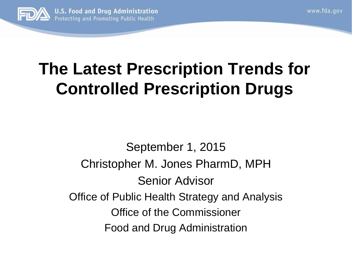

### **The Latest Prescription Trends for Controlled Prescription Drugs**

www.fda.gov

September 1, 2015 Christopher M. Jones PharmD, MPH Senior Advisor Office of Public Health Strategy and Analysis Office of the Commissioner Food and Drug Administration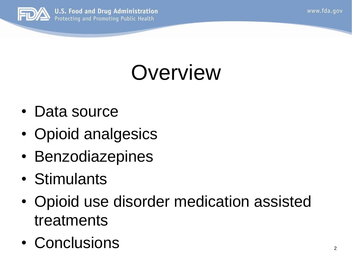www.fda.gov



**U.S. Food and Drug Administration** Protecting and Promoting Public Health

# **Overview**

- • Data source
- Opioid analgesics
- Benzodiazepines
- • Stimulants
- Opioid use disorder medication assisted treatments
- Conclusions 2008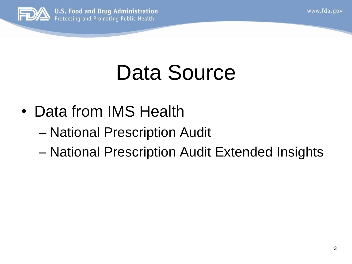

**U.S. Food and Drug Administration** Protecting and Promoting Public Health

# Data Source

- Data from IMS Health
	- National Prescription Audit
	- National Prescription Audit Extended Insights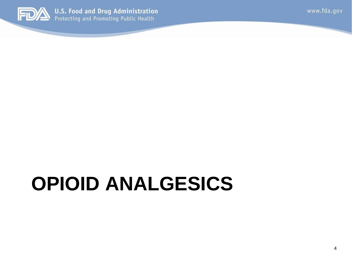

# **OPIOID ANALGESICS**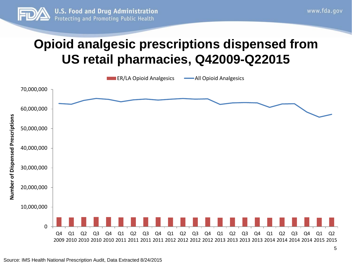

#### **Opioid analgesic prescriptions dispensed from US retail pharmacies, Q42009-Q22015**

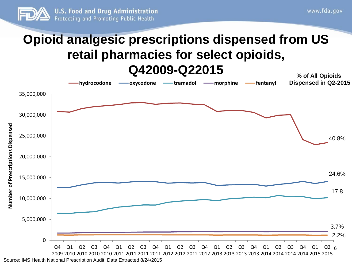

#### **Opioid analgesic prescriptions dispensed from US % of All Opioids retail pharmacies for select opioids, Q42009-Q22015**



Source: IMS Health National Prescription Audit, Data Extracted 8/24/2015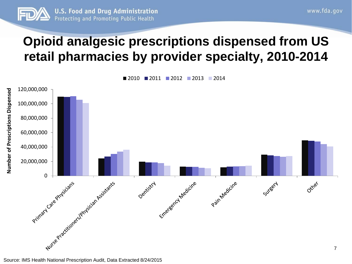

#### **Opioid analgesic prescriptions dispensed from US retail pharmacies by provider specialty, 2010-2014**

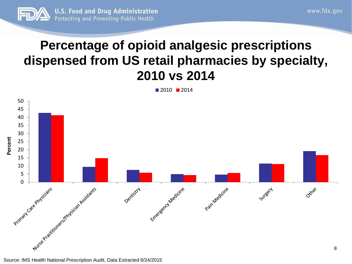

#### **Percentage of opioid analgesic prescriptions dispensed from US retail pharmacies by specialty, 2010 vs 2014**

2010 2014

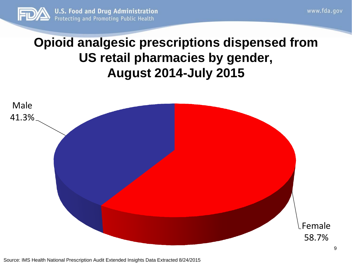

#### **Opioid analgesic prescriptions dispensed from US retail pharmacies by gender, August 2014-July 2015**

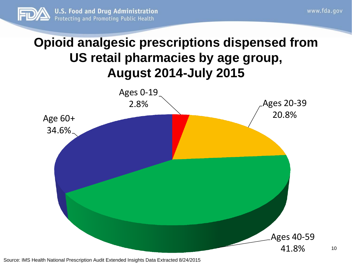

10

#### **Opioid analgesic prescriptions dispensed from US retail pharmacies by age group, August 2014-July 2015**



Source: IMS Health National Prescription Audit Extended Insights Data Extracted 8/24/2015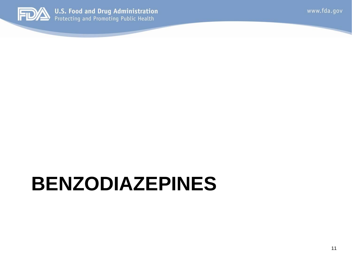

### **BENZODIAZEPINES**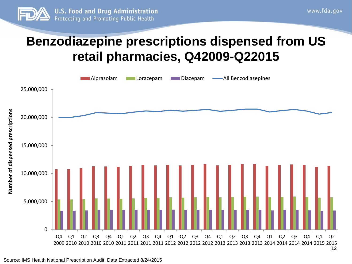

#### **Benzodiazepine prescriptions dispensed from US retail pharmacies, Q42009-Q22015**

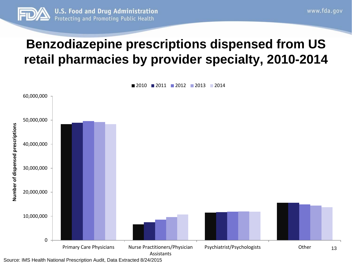

#### **Benzodiazepine prescriptions dispensed from US retail pharmacies by provider specialty, 2010-2014**

2010 2011 2012 2013 2014 60,000,000 50,000,000 **Number of dispensed prescriptions**  Number of dispensed prescriptions 40,000,000 30,000,000 20,000,000 10,000,000  $\Omega$ Primary Care Physicians Murse Practitioners/Physician Psychiatrist/Psychologists Other 13

 Source: IMS Health National Prescription Audit, Data Extracted 8/24/2015 Assistants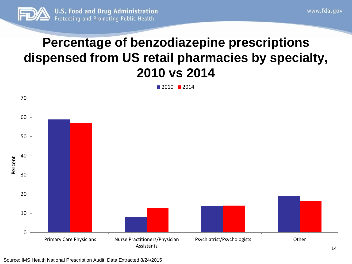

#### **Percentage of benzodiazepine prescriptions dispensed from US retail pharmacies by specialty, 2010 vs 2014**

2010 2014



Source: IMS Health National Prescription Audit, Data Extracted 8/24/2015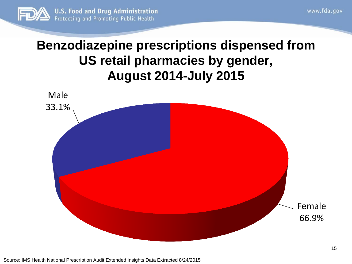

#### **US retail pharmacies by gender, Benzodiazepine prescriptions dispensed from August 2014-July 2015**

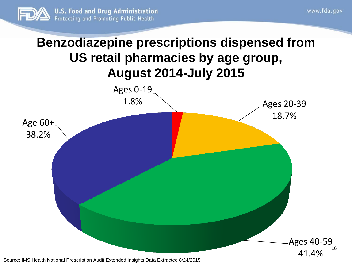

16

#### **Benzodiazepine prescriptions dispensed from US retail pharmacies by age group, August 2014-July 2015**



Source: IMS Health National Prescription Audit Extended Insights Data Extracted 8/24/2015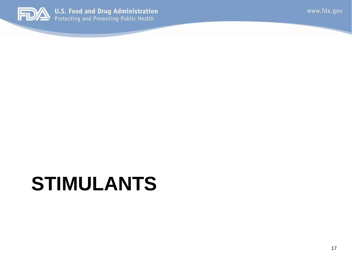

### **STIMULANTS**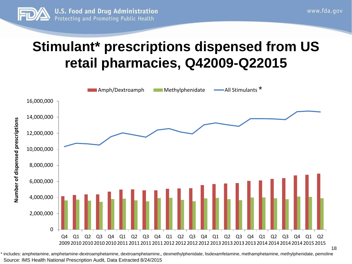

18

### **Stimulant\* prescriptions dispensed from US retail pharmacies, Q42009-Q22015**



 Source: IMS Health National Prescription Audit, Data Extracted 8/24/2015 \* includes: amphetamine, amphetamine-dextroamphetamine, dextroamphetamine,, dexmethylphenidate, lisdexamfetamine, methamphetamine, methylphenidate, pemoline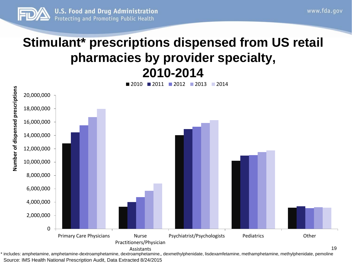

#### **Stimulant\* prescriptions dispensed from US retail pharmacies by provider specialty, 2010-2014**



 Source: IMS Health National Prescription Audit, Data Extracted 8/24/2015 Assistants \* includes: amphetamine, amphetamine-dextroamphetamine, dextroamphetamine,, dexmethylphenidate, lisdexamfetamine, methamphetamine, methylphenidate, pemoline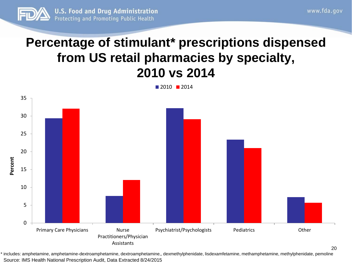

#### **from US retail pharmacies by specialty, Percentage of stimulant\* prescriptions dispensed 2010 vs 2014**

■ 2010 ■ 2014



 Source: IMS Health National Prescription Audit, Data Extracted 8/24/2015 \* includes: amphetamine, amphetamine-dextroamphetamine, dextroamphetamine,, dexmethylphenidate, lisdexamfetamine, methamphetamine, methylphenidate, pemoline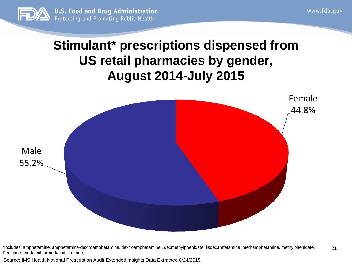

#### **US retail pharmacies by gender, Stimulant\* prescriptions dispensed from August 2014-July 2015**



 Pemoline, modafinil, armodafinil, caffeine, \*includes: amphetamine, amphetamine-dextroamphetamine, dextroamphetamine,, dexmethylphenidate, lisdexamfetamine, methamphetamine, methylphenidate, 21

Source: IMS Health National Prescription Audit Extended Insights Data Extracted 8/24/2015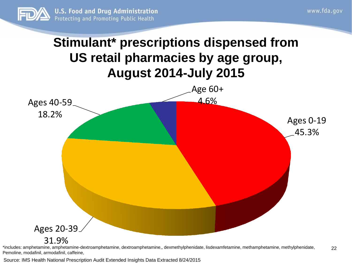

Pemoline, modafinil, armodafinil, caffeine,

#### **Stimulant\* prescriptions dispensed from US retail pharmacies by age group, August 2014-July 2015**



Source: IMS Health National Prescription Audit Extended Insights Data Extracted 8/24/2015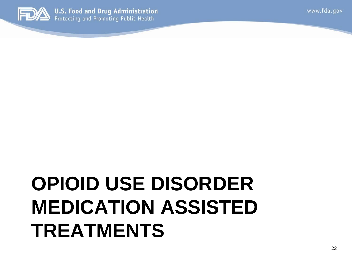### **OPIOID USE DISORDER MEDICATION ASSISTED TREATMENTS**

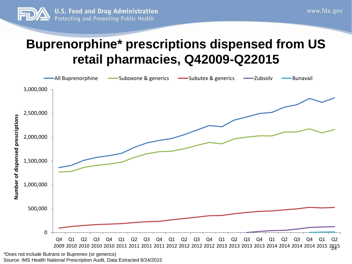

#### **Buprenorphine\* prescriptions dispensed from US retail pharmacies, Q42009-Q22015**



 Source: IMS Health National Prescription Audit, Data Extracted 8/24/2015 \*Does not include Butrans or Buprenex (or generics)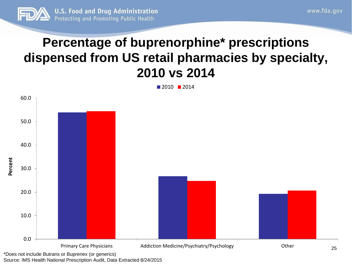

#### **dispensed from US retail pharmacies by specialty, Percentage of buprenorphine\* prescriptions 2010 vs 2014**

2010 2014



Source: IMS Health National Prescription Audit, Data Extracted 8/24/2015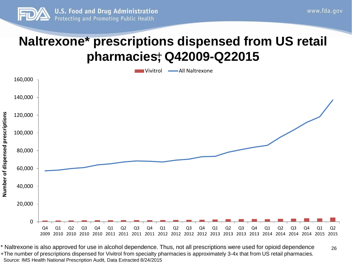

#### **Naltrexone\* prescriptions dispensed from US retail pharmacies, Q42009-Q22015** +



 \* Naltrexone is also approved for use in alcohol dependence. Thus, not all prescriptions were used for opioid dependence +The number of prescriptions dispensed for Vivitrol from specialty pharmacies is approximately 3-4x that from US retail pharmacies. Source: IMS Health National Prescription Audit, Data Extracted 8/24/2015 26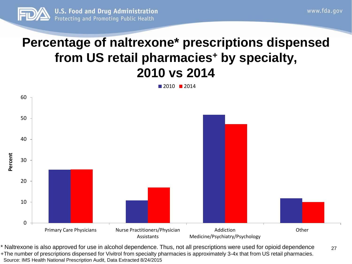

#### **from US retail pharmacies+ by specialty, Percentage of naltrexone\* prescriptions dispensed 2010 vs 2014**

 $\blacksquare$  2010  $\blacksquare$  2014



 Source: IMS Health National Prescription Audit, Data Extracted 8/24/2015 \* Naltrexone is also approved for use in alcohol dependence. Thus, not all prescriptions were used for opioid dependence +The number of prescriptions dispensed for Vivitrol from specialty pharmacies is approximately 3-4x that from US retail pharmacies. 27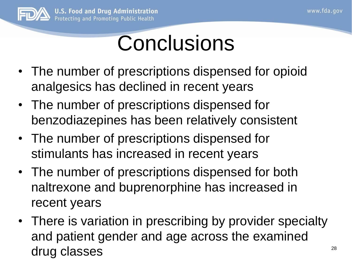

### **Conclusions**

- The number of prescriptions dispensed for opioid analgesics has declined in recent years
- The number of prescriptions dispensed for benzodiazepines has been relatively consistent
- • The number of prescriptions dispensed for stimulants has increased in recent years
- The number of prescriptions dispensed for both naltrexone and buprenorphine has increased in recent years
- There is variation in prescribing by provider specialty and patient gender and age across the examined drug classes and the set of  $28$